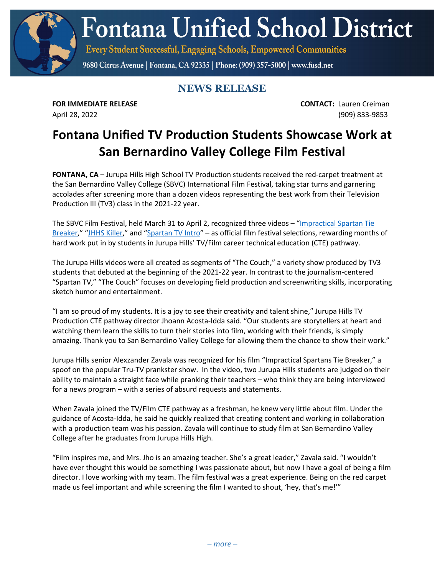**Fontana Unified School District** 

Every Student Successful, Engaging Schools, Empowered Communities

9680 Citrus Avenue | Fontana, CA 92335 | Phone: (909) 357-5000 | www.fusd.net

## **NEWS RELEASE**

**FOR IMMEDIATE RELEASE CONTACT:** Lauren Creiman April 28, 2022 (909) 833-9853

## **Fontana Unified TV Production Students Showcase Work at San Bernardino Valley College Film Festival**

**FONTANA, CA** – Jurupa Hills High School TV Production students received the red-carpet treatment at the San Bernardino Valley College (SBVC) International Film Festival, taking star turns and garnering accolades after screening more than a dozen videos representing the best work from their Television Production III (TV3) class in the 2021-22 year.

The SBVC Film Festival, held March 31 to April 2, recognized three videos – ["Impractical Spartan Tie](https://www.youtube.com/watch?v=IZlNQKUhbrE)  [Breaker,](https://www.youtube.com/watch?v=IZlNQKUhbrE)" ["JHHS Killer,](https://www.youtube.com/watch?v=q37LaLbnA4g&t=808s)" and ["Spartan TV Intro"](https://www.youtube.com/watch?v=UIa1rX8OHsI&t=40s) – as official film festival selections, rewarding months of hard work put in by students in Jurupa Hills' TV/Film career technical education (CTE) pathway.

The Jurupa Hills videos were all created as segments of "The Couch," a variety show produced by TV3 students that debuted at the beginning of the 2021-22 year. In contrast to the journalism-centered "Spartan TV," "The Couch" focuses on developing field production and screenwriting skills, incorporating sketch humor and entertainment.

"I am so proud of my students. It is a joy to see their creativity and talent shine," Jurupa Hills TV Production CTE pathway director Jhoann Acosta-Idda said. "Our students are storytellers at heart and watching them learn the skills to turn their stories into film, working with their friends, is simply amazing. Thank you to San Bernardino Valley College for allowing them the chance to show their work."

Jurupa Hills senior Alexzander Zavala was recognized for his film "Impractical Spartans Tie Breaker," a spoof on the popular Tru-TV prankster show. In the video, two Jurupa Hills students are judged on their ability to maintain a straight face while pranking their teachers – who think they are being interviewed for a news program – with a series of absurd requests and statements.

When Zavala joined the TV/Film CTE pathway as a freshman, he knew very little about film. Under the guidance of Acosta-Idda, he said he quickly realized that creating content and working in collaboration with a production team was his passion. Zavala will continue to study film at San Bernardino Valley College after he graduates from Jurupa Hills High.

"Film inspires me, and Mrs. Jho is an amazing teacher. She's a great leader," Zavala said. "I wouldn't have ever thought this would be something I was passionate about, but now I have a goal of being a film director. I love working with my team. The film festival was a great experience. Being on the red carpet made us feel important and while screening the film I wanted to shout, 'hey, that's me!'"